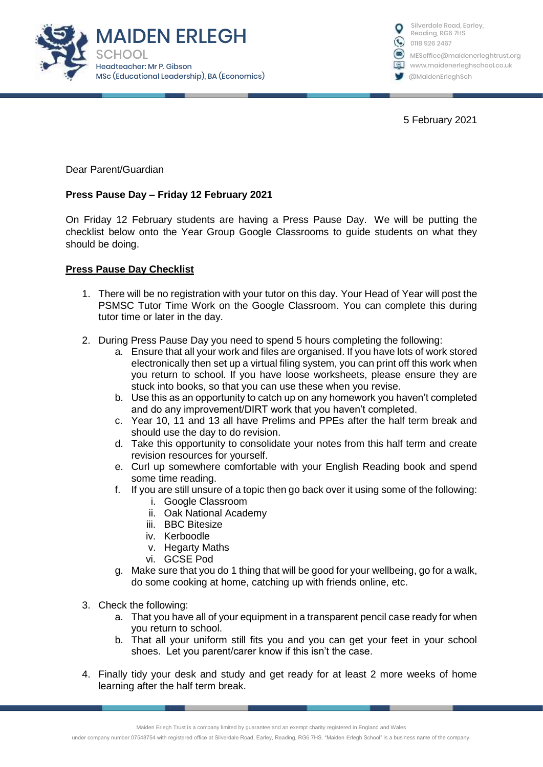



5 February 2021

Dear Parent/Guardian

## **Press Pause Day – Friday 12 February 2021**

On Friday 12 February students are having a Press Pause Day. We will be putting the checklist below onto the Year Group Google Classrooms to guide students on what they should be doing.

## **Press Pause Day Checklist**

- 1. There will be no registration with your tutor on this day. Your Head of Year will post the PSMSC Tutor Time Work on the Google Classroom. You can complete this during tutor time or later in the day.
- 2. During Press Pause Day you need to spend 5 hours completing the following:
	- a. Ensure that all your work and files are organised. If you have lots of work stored electronically then set up a virtual filing system, you can print off this work when you return to school. If you have loose worksheets, please ensure they are stuck into books, so that you can use these when you revise.
	- b. Use this as an opportunity to catch up on any homework you haven't completed and do any improvement/DIRT work that you haven't completed.
	- c. Year 10, 11 and 13 all have Prelims and PPEs after the half term break and should use the day to do revision.
	- d. Take this opportunity to consolidate your notes from this half term and create revision resources for yourself.
	- e. Curl up somewhere comfortable with your English Reading book and spend some time reading.
	- f. If you are still unsure of a topic then go back over it using some of the following:
		- i. Google Classroom
		- ii. Oak National Academy
		- iii. BBC Bitesize
		- iv. Kerboodle
		- v. Hegarty Maths
		- vi. GCSE Pod
	- g. Make sure that you do 1 thing that will be good for your wellbeing, go for a walk, do some cooking at home, catching up with friends online, etc.
- 3. Check the following:
	- a. That you have all of your equipment in a transparent pencil case ready for when you return to school.
	- b. That all your uniform still fits you and you can get your feet in your school shoes. Let you parent/carer know if this isn't the case.
- 4. Finally tidy your desk and study and get ready for at least 2 more weeks of home learning after the half term break.

Maiden Erlegh Trust is a company limited by guarantee and an exempt charity registered in England and Wales

under company number 07548754 with registered office at Silverdale Road, Earley, Reading, RG6 7HS. "Maiden Erlegh School" is a business name of the company.